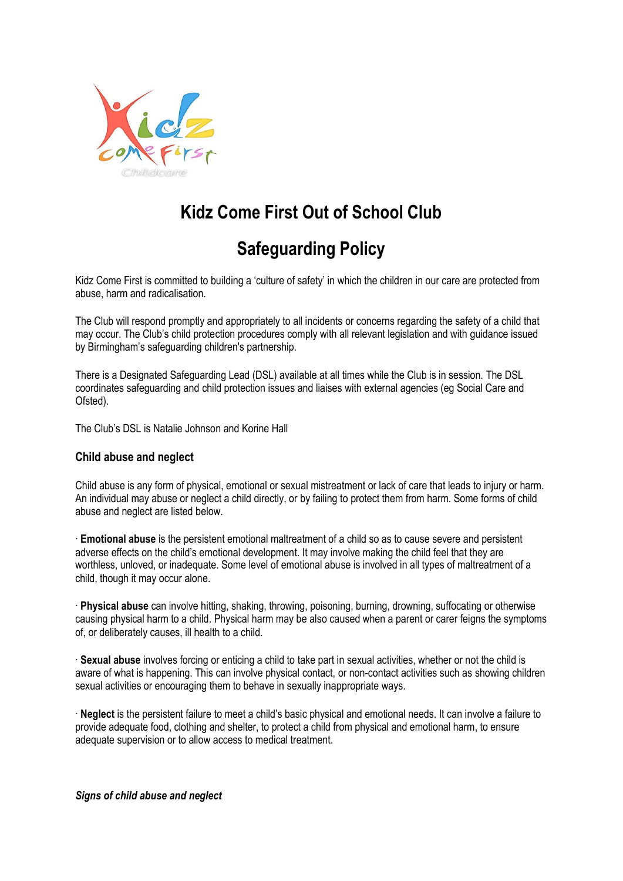

# **Kidz Come First Out of School Club**

## **Safeguarding Policy**

Kidz Come First is committed to building a 'culture of safety' in which the children in our care are protected from abuse, harm and radicalisation.

The Club will respond promptly and appropriately to all incidents or concerns regarding the safety of a child that may occur. The Club's child protection procedures comply with all relevant legislation and with guidance issued by Birmingham's safeguarding children's partnership.

There is a Designated Safeguarding Lead (DSL) available at all times while the Club is in session. The DSL coordinates safeguarding and child protection issues and liaises with external agencies (eg Social Care and Ofsted).

The Club's DSL is Natalie Johnson and Korine Hall

## **Child abuse and neglect**

Child abuse is any form of physical, emotional or sexual mistreatment or lack of care that leads to injury or harm. An individual may abuse or neglect a child directly, or by failing to protect them from harm. Some forms of child abuse and neglect are listed below.

∙ **Emotional abuse** is the persistent emotional maltreatment of a child so as to cause severe and persistent adverse effects on the child's emotional development. It may involve making the child feel that they are worthless, unloved, or inadequate. Some level of emotional abuse is involved in all types of maltreatment of a child, though it may occur alone.

∙ **Physical abuse** can involve hitting, shaking, throwing, poisoning, burning, drowning, suffocating or otherwise causing physical harm to a child. Physical harm may be also caused when a parent or carer feigns the symptoms of, or deliberately causes, ill health to a child.

∙ **Sexual abuse** involves forcing or enticing a child to take part in sexual activities, whether or not the child is aware of what is happening. This can involve physical contact, or non-contact activities such as showing children sexual activities or encouraging them to behave in sexually inappropriate ways.

∙ **Neglect** is the persistent failure to meet a child's basic physical and emotional needs. It can involve a failure to provide adequate food, clothing and shelter, to protect a child from physical and emotional harm, to ensure adequate supervision or to allow access to medical treatment.

*Signs of child abuse and neglect*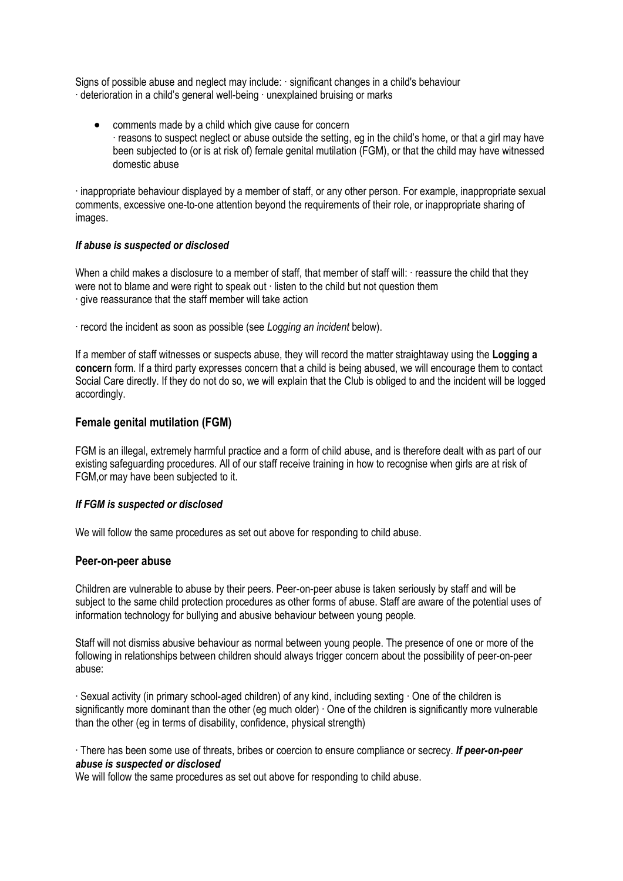Signs of possible abuse and neglect may include: ∙ significant changes in a child's behaviour ∙ deterioration in a child's general well-being ∙ unexplained bruising or marks

• comments made by a child which give cause for concern ∙ reasons to suspect neglect or abuse outside the setting, eg in the child's home, or that a girl may have been subjected to (or is at risk of) female genital mutilation (FGM), or that the child may have witnessed domestic abuse

∙ inappropriate behaviour displayed by a member of staff, or any other person. For example, inappropriate sexual comments, excessive one-to-one attention beyond the requirements of their role, or inappropriate sharing of images.

## *If abuse is suspected or disclosed*

When a child makes a disclosure to a member of staff, that member of staff will: ∙ reassure the child that they were not to blame and were right to speak out ⋅ listen to the child but not question them ∙ give reassurance that the staff member will take action

∙ record the incident as soon as possible (see *Logging an incident* below).

If a member of staff witnesses or suspects abuse, they will record the matter straightaway using the **Logging a concern** form. If a third party expresses concern that a child is being abused, we will encourage them to contact Social Care directly. If they do not do so, we will explain that the Club is obliged to and the incident will be logged accordingly.

## **Female genital mutilation (FGM)**

FGM is an illegal, extremely harmful practice and a form of child abuse, and is therefore dealt with as part of our existing safeguarding procedures. All of our staff receive training in how to recognise when girls are at risk of FGM,or may have been subjected to it.

## *If FGM is suspected or disclosed*

We will follow the same procedures as set out above for responding to child abuse.

## **Peer-on-peer abuse**

Children are vulnerable to abuse by their peers. Peer-on-peer abuse is taken seriously by staff and will be subject to the same child protection procedures as other forms of abuse. Staff are aware of the potential uses of information technology for bullying and abusive behaviour between young people.

Staff will not dismiss abusive behaviour as normal between young people. The presence of one or more of the following in relationships between children should always trigger concern about the possibility of peer-on-peer abuse:

∙ Sexual activity (in primary school-aged children) of any kind, including sexting ∙ One of the children is significantly more dominant than the other (eg much older) ∙ One of the children is significantly more vulnerable than the other (eg in terms of disability, confidence, physical strength)

∙ There has been some use of threats, bribes or coercion to ensure compliance or secrecy. *If peer-on-peer abuse is suspected or disclosed*

We will follow the same procedures as set out above for responding to child abuse.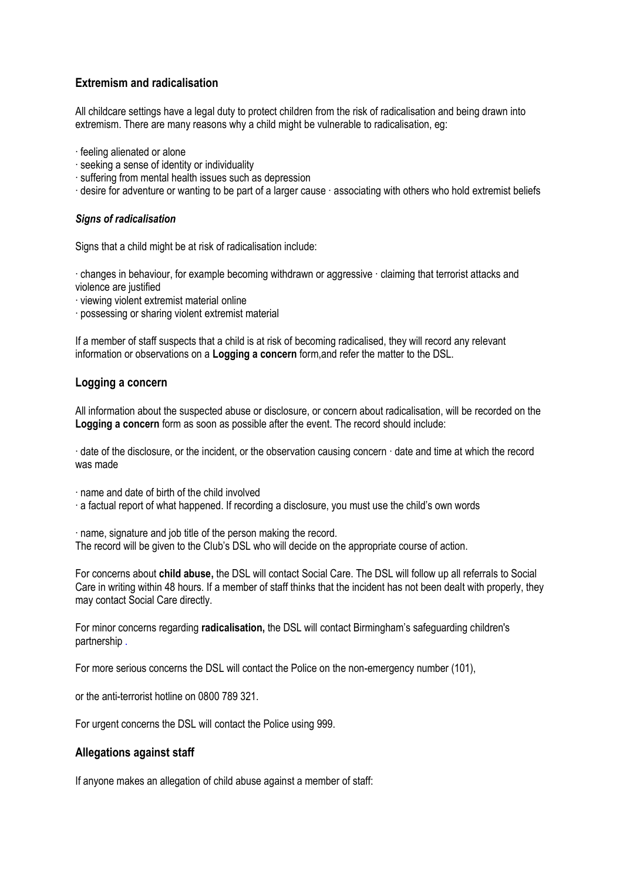## **Extremism and radicalisation**

All childcare settings have a legal duty to protect children from the risk of radicalisation and being drawn into extremism. There are many reasons why a child might be vulnerable to radicalisation, eg:

- ∙ feeling alienated or alone
- ∙ seeking a sense of identity or individuality
- ∙ suffering from mental health issues such as depression
- ∙ desire for adventure or wanting to be part of a larger cause ∙ associating with others who hold extremist beliefs

## *Signs of radicalisation*

Signs that a child might be at risk of radicalisation include:

∙ changes in behaviour, for example becoming withdrawn or aggressive ∙ claiming that terrorist attacks and violence are justified

- ∙ viewing violent extremist material online
- ∙ possessing or sharing violent extremist material

If a member of staff suspects that a child is at risk of becoming radicalised, they will record any relevant information or observations on a **Logging a concern** form,and refer the matter to the DSL.

## **Logging a concern**

All information about the suspected abuse or disclosure, or concern about radicalisation, will be recorded on the **Logging a concern** form as soon as possible after the event. The record should include:

∙ date of the disclosure, or the incident, or the observation causing concern ∙ date and time at which the record was made

∙ name and date of birth of the child involved

∙ a factual report of what happened. If recording a disclosure, you must use the child's own words

∙ name, signature and job title of the person making the record. The record will be given to the Club's DSL who will decide on the appropriate course of action.

For concerns about **child abuse,** the DSL will contact Social Care. The DSL will follow up all referrals to Social Care in writing within 48 hours. If a member of staff thinks that the incident has not been dealt with properly, they may contact Social Care directly.

For minor concerns regarding **radicalisation,** the DSL will contact Birmingham's safeguarding children's partnership .

For more serious concerns the DSL will contact the Police on the non-emergency number (101),

or the anti-terrorist hotline on 0800 789 321.

For urgent concerns the DSL will contact the Police using 999.

## **Allegations against staff**

If anyone makes an allegation of child abuse against a member of staff: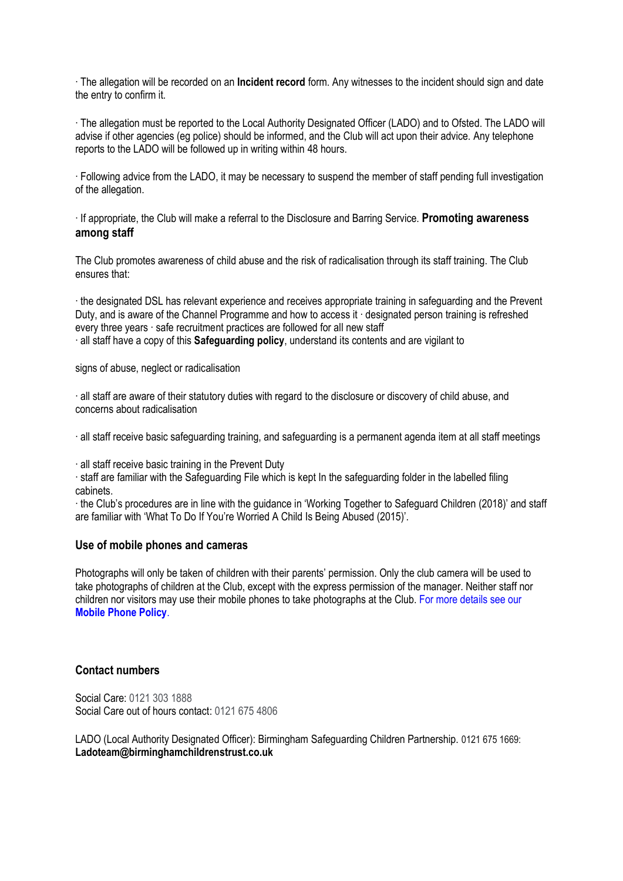∙ The allegation will be recorded on an **Incident record** form. Any witnesses to the incident should sign and date the entry to confirm it.

∙ The allegation must be reported to the Local Authority Designated Officer (LADO) and to Ofsted. The LADO will advise if other agencies (eg police) should be informed, and the Club will act upon their advice. Any telephone reports to the LADO will be followed up in writing within 48 hours.

∙ Following advice from the LADO, it may be necessary to suspend the member of staff pending full investigation of the allegation.

∙ If appropriate, the Club will make a referral to the Disclosure and Barring Service. **Promoting awareness among staff** 

The Club promotes awareness of child abuse and the risk of radicalisation through its staff training. The Club ensures that:

∙ the designated DSL has relevant experience and receives appropriate training in safeguarding and the Prevent Duty, and is aware of the Channel Programme and how to access it ∙ designated person training is refreshed every three years ∙ safe recruitment practices are followed for all new staff

∙ all staff have a copy of this **Safeguarding policy**, understand its contents and are vigilant to

signs of abuse, neglect or radicalisation

∙ all staff are aware of their statutory duties with regard to the disclosure or discovery of child abuse, and concerns about radicalisation

∙ all staff receive basic safeguarding training, and safeguarding is a permanent agenda item at all staff meetings

∙ all staff receive basic training in the Prevent Duty

∙ staff are familiar with the Safeguarding File which is kept In the safeguarding folder in the labelled filing cabinets.

∙ the Club's procedures are in line with the guidance in 'Working Together to Safeguard Children (2018)' and staff are familiar with 'What To Do If You're Worried A Child Is Being Abused (2015)'.

## **Use of mobile phones and cameras**

Photographs will only be taken of children with their parents' permission. Only the club camera will be used to take photographs of children at the Club, except with the express permission of the manager. Neither staff nor children nor visitors may use their mobile phones to take photographs at the Club. For more details see our **Mobile Phone Policy**.

#### **Contact numbers**

Social Care: 0121 303 1888 Social Care out of hours contact: 0121 675 4806

LADO (Local Authority Designated Officer): Birmingham Safeguarding Children Partnership. 0121 675 1669: **Ladoteam@birminghamchildrenstrust.co.uk**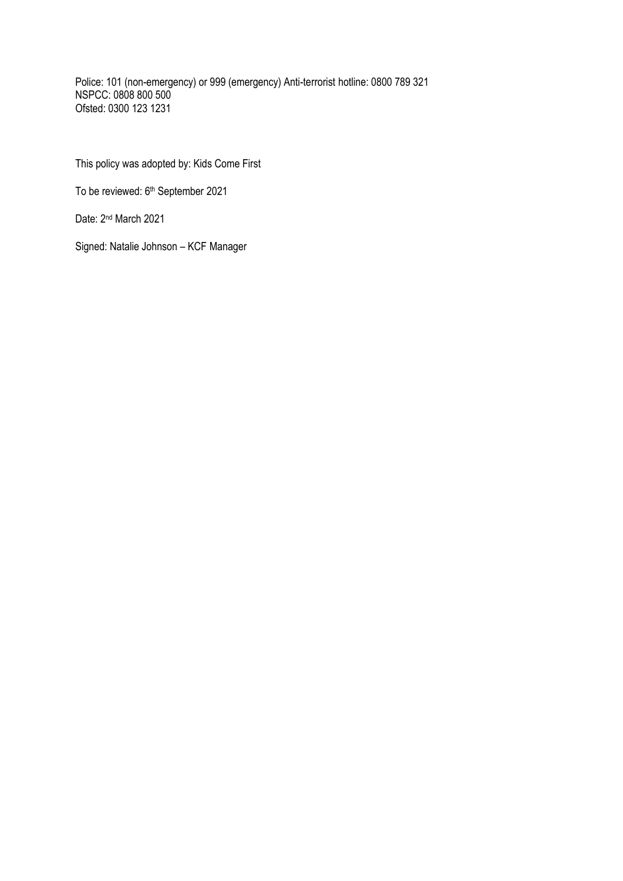Police: 101 (non-emergency) or 999 (emergency) Anti-terrorist hotline: 0800 789 321 NSPCC: 0808 800 500 Ofsted: 0300 123 1231

This policy was adopted by: Kids Come First

To be reviewed: 6<sup>th</sup> September 2021

Date: 2<sup>nd</sup> March 2021

Signed: Natalie Johnson – KCF Manager